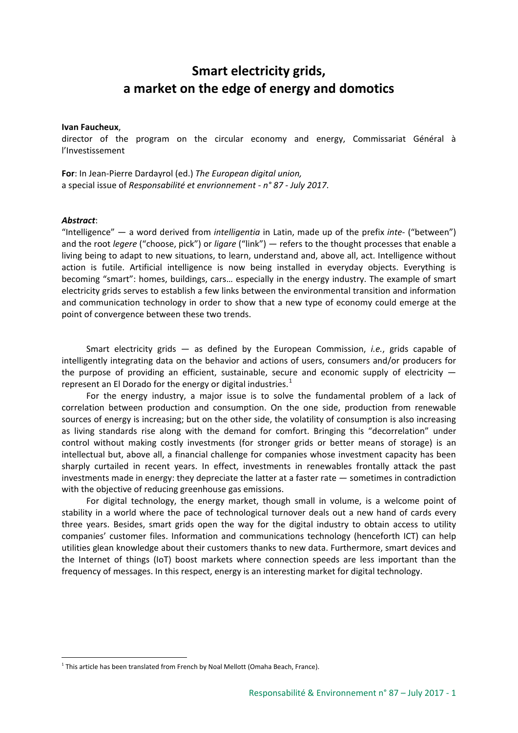# **Smart electricity grids, a market on the edge of energy and domotics**

#### **Ivan Faucheux**,

director of the program on the circular economy and energy, Commissariat Général à l'Investissement

**For**: In Jean-Pierre Dardayrol (ed.) *The European digital union,* a special issue of *Responsabilité et envrionnement - n° 87 - July 2017*.

#### *Abstract*:

-

"Intelligence" — a word derived from *intelligentia* in Latin, made up of the prefix *inte*- ("between") and the root *legere* ("choose, pick") or *ligare* ("link") — refers to the thought processes that enable a living being to adapt to new situations, to learn, understand and, above all, act. Intelligence without action is futile. Artificial intelligence is now being installed in everyday objects. Everything is becoming "smart": homes, buildings, cars… especially in the energy industry. The example of smart electricity grids serves to establish a few links between the environmental transition and information and communication technology in order to show that a new type of economy could emerge at the point of convergence between these two trends.

Smart electricity grids — as defined by the European Commission, *i.e.*, grids capable of intelligently integrating data on the behavior and actions of users, consumers and/or producers for the purpose of providing an efficient, sustainable, secure and economic supply of electricity represent an El Dorado for the energy or digital industries. $<sup>1</sup>$  $<sup>1</sup>$  $<sup>1</sup>$ </sup>

For the energy industry, a major issue is to solve the fundamental problem of a lack of correlation between production and consumption. On the one side, production from renewable sources of energy is increasing; but on the other side, the volatility of consumption is also increasing as living standards rise along with the demand for comfort. Bringing this "decorrelation" under control without making costly investments (for stronger grids or better means of storage) is an intellectual but, above all, a financial challenge for companies whose investment capacity has been sharply curtailed in recent years. In effect, investments in renewables frontally attack the past investments made in energy: they depreciate the latter at a faster rate — sometimes in contradiction with the objective of reducing greenhouse gas emissions.

For digital technology, the energy market, though small in volume, is a welcome point of stability in a world where the pace of technological turnover deals out a new hand of cards every three years. Besides, smart grids open the way for the digital industry to obtain access to utility companies' customer files. Information and communications technology (henceforth ICT) can help utilities glean knowledge about their customers thanks to new data. Furthermore, smart devices and the Internet of things (IoT) boost markets where connection speeds are less important than the frequency of messages. In this respect, energy is an interesting market for digital technology.

<span id="page-0-0"></span> $1$  This article has been translated from French by Noal Mellott (Omaha Beach, France).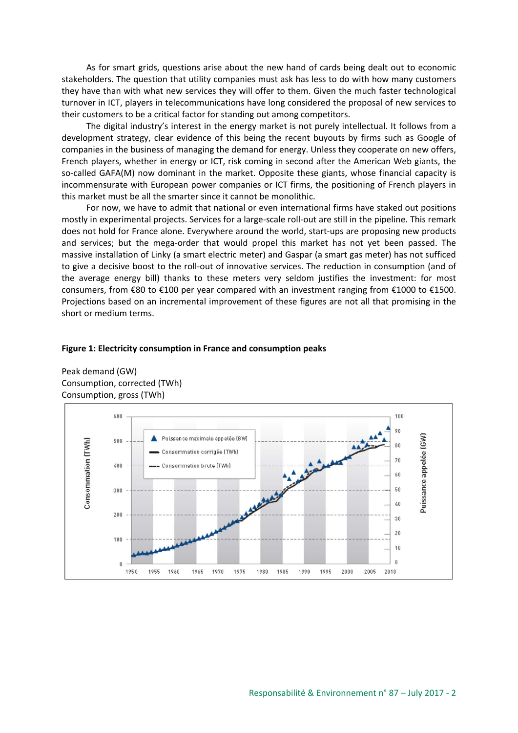As for smart grids, questions arise about the new hand of cards being dealt out to economic stakeholders. The question that utility companies must ask has less to do with how many customers they have than with what new services they will offer to them. Given the much faster technological turnover in ICT, players in telecommunications have long considered the proposal of new services to their customers to be a critical factor for standing out among competitors.

The digital industry's interest in the energy market is not purely intellectual. It follows from a development strategy, clear evidence of this being the recent buyouts by firms such as Google of companies in the business of managing the demand for energy. Unless they cooperate on new offers, French players, whether in energy or ICT, risk coming in second after the American Web giants, the so-called GAFA(M) now dominant in the market. Opposite these giants, whose financial capacity is incommensurate with European power companies or ICT firms, the positioning of French players in this market must be all the smarter since it cannot be monolithic.

For now, we have to admit that national or even international firms have staked out positions mostly in experimental projects. Services for a large-scale roll-out are still in the pipeline. This remark does not hold for France alone. Everywhere around the world, start-ups are proposing new products and services; but the mega-order that would propel this market has not yet been passed. The massive installation of Linky (a smart electric meter) and Gaspar (a smart gas meter) has not sufficed to give a decisive boost to the roll-out of innovative services. The reduction in consumption (and of the average energy bill) thanks to these meters very seldom justifies the investment: for most consumers, from €80 to €100 per year compared with an investment ranging from €1000 to €1500. Projections based on an incremental improvement of these figures are not all that promising in the short or medium terms.

#### **Figure 1: Electricity consumption in France and consumption peaks**

Peak demand (GW) Consumption, corrected (TWh) Consumption, gross (TWh)

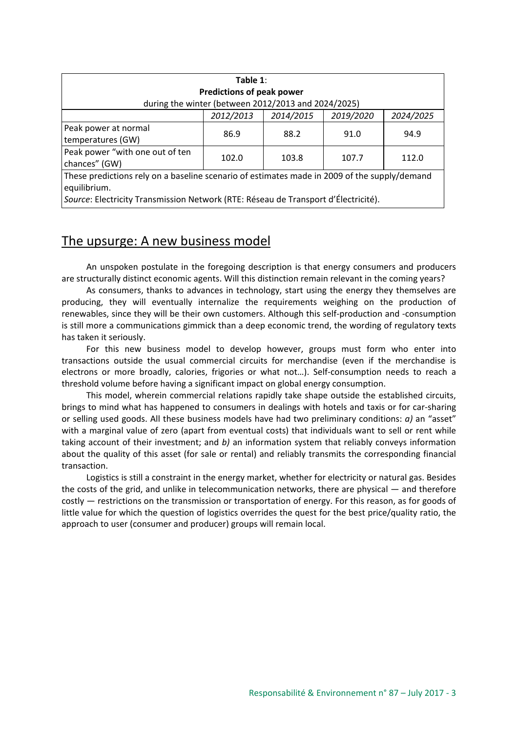| Table $1$ :                                                                                                                                                                                        |           |           |           |           |
|----------------------------------------------------------------------------------------------------------------------------------------------------------------------------------------------------|-----------|-----------|-----------|-----------|
| <b>Predictions of peak power</b>                                                                                                                                                                   |           |           |           |           |
| during the winter (between 2012/2013 and 2024/2025)                                                                                                                                                |           |           |           |           |
|                                                                                                                                                                                                    | 2012/2013 | 2014/2015 | 2019/2020 | 2024/2025 |
| Peak power at normal<br>temperatures (GW)                                                                                                                                                          | 86.9      | 88.2      | 91.0      | 94.9      |
| Peak power "with one out of ten<br>chances" (GW)                                                                                                                                                   | 102.0     | 103.8     | 107.7     | 112.0     |
| These predictions rely on a baseline scenario of estimates made in 2009 of the supply/demand<br>equilibrium.<br>Source: Electricity Transmission Network (RTE: Réseau de Transport d'Électricité). |           |           |           |           |

## The upsurge: A new business model

An unspoken postulate in the foregoing description is that energy consumers and producers are structurally distinct economic agents. Will this distinction remain relevant in the coming years?

As consumers, thanks to advances in technology, start using the energy they themselves are producing, they will eventually internalize the requirements weighing on the production of renewables, since they will be their own customers. Although this self-production and -consumption is still more a communications gimmick than a deep economic trend, the wording of regulatory texts has taken it seriously.

For this new business model to develop however, groups must form who enter into transactions outside the usual commercial circuits for merchandise (even if the merchandise is electrons or more broadly, calories, frigories or what not…). Self-consumption needs to reach a threshold volume before having a significant impact on global energy consumption.

This model, wherein commercial relations rapidly take shape outside the established circuits, brings to mind what has happened to consumers in dealings with hotels and taxis or for car-sharing or selling used goods. All these business models have had two preliminary conditions: *a)* an "asset" with a marginal value of zero (apart from eventual costs) that individuals want to sell or rent while taking account of their investment; and *b)* an information system that reliably conveys information about the quality of this asset (for sale or rental) and reliably transmits the corresponding financial transaction.

Logistics is still a constraint in the energy market, whether for electricity or natural gas. Besides the costs of the grid, and unlike in telecommunication networks, there are physical — and therefore costly — restrictions on the transmission or transportation of energy. For this reason, as for goods of little value for which the question of logistics overrides the quest for the best price/quality ratio, the approach to user (consumer and producer) groups will remain local.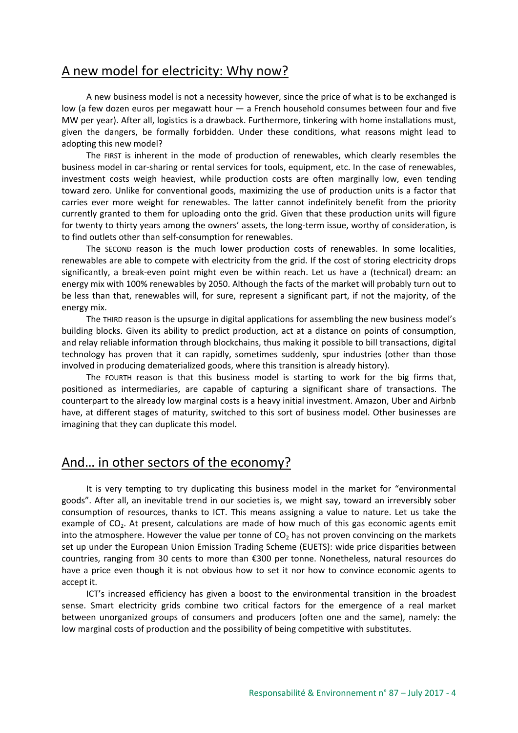## A new model for electricity: Why now?

A new business model is not a necessity however, since the price of what is to be exchanged is low (a few dozen euros per megawatt hour — a French household consumes between four and five MW per year). After all, logistics is a drawback. Furthermore, tinkering with home installations must, given the dangers, be formally forbidden. Under these conditions, what reasons might lead to adopting this new model?

The FIRST is inherent in the mode of production of renewables, which clearly resembles the business model in car-sharing or rental services for tools, equipment, etc. In the case of renewables, investment costs weigh heaviest, while production costs are often marginally low, even tending toward zero. Unlike for conventional goods, maximizing the use of production units is a factor that carries ever more weight for renewables. The latter cannot indefinitely benefit from the priority currently granted to them for uploading onto the grid. Given that these production units will figure for twenty to thirty years among the owners' assets, the long-term issue, worthy of consideration, is to find outlets other than self-consumption for renewables.

The SECOND reason is the much lower production costs of renewables. In some localities, renewables are able to compete with electricity from the grid. If the cost of storing electricity drops significantly, a break-even point might even be within reach. Let us have a (technical) dream: an energy mix with 100% renewables by 2050. Although the facts of the market will probably turn out to be less than that, renewables will, for sure, represent a significant part, if not the majority, of the energy mix.

The THIRD reason is the upsurge in digital applications for assembling the new business model's building blocks. Given its ability to predict production, act at a distance on points of consumption, and relay reliable information through blockchains, thus making it possible to bill transactions, digital technology has proven that it can rapidly, sometimes suddenly, spur industries (other than those involved in producing dematerialized goods, where this transition is already history).

The FOURTH reason is that this business model is starting to work for the big firms that, positioned as intermediaries, are capable of capturing a significant share of transactions. The counterpart to the already low marginal costs is a heavy initial investment. Amazon, Uber and Airbnb have, at different stages of maturity, switched to this sort of business model. Other businesses are imagining that they can duplicate this model.

### And… in other sectors of the economy?

It is very tempting to try duplicating this business model in the market for "environmental goods". After all, an inevitable trend in our societies is, we might say, toward an irreversibly sober consumption of resources, thanks to ICT. This means assigning a value to nature. Let us take the example of  $CO<sub>2</sub>$ . At present, calculations are made of how much of this gas economic agents emit into the atmosphere. However the value per tonne of  $CO<sub>2</sub>$  has not proven convincing on the markets set up under the European Union Emission Trading Scheme (EUETS): wide price disparities between countries, ranging from 30 cents to more than €300 per tonne. Nonetheless, natural resources do have a price even though it is not obvious how to set it nor how to convince economic agents to accept it.

ICT's increased efficiency has given a boost to the environmental transition in the broadest sense. Smart electricity grids combine two critical factors for the emergence of a real market between unorganized groups of consumers and producers (often one and the same), namely: the low marginal costs of production and the possibility of being competitive with substitutes.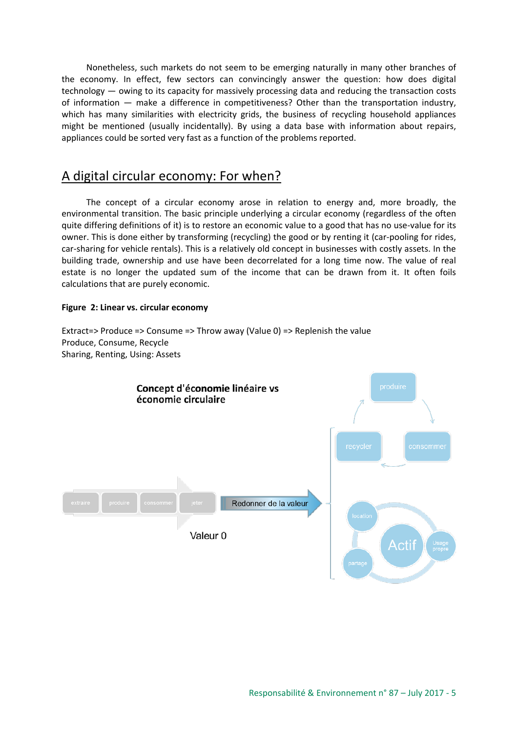Nonetheless, such markets do not seem to be emerging naturally in many other branches of the economy. In effect, few sectors can convincingly answer the question: how does digital technology — owing to its capacity for massively processing data and reducing the transaction costs of information — make a difference in competitiveness? Other than the transportation industry, which has many similarities with electricity grids, the business of recycling household appliances might be mentioned (usually incidentally). By using a data base with information about repairs, appliances could be sorted very fast as a function of the problems reported.

### A digital circular economy: For when?

The concept of a circular economy arose in relation to energy and, more broadly, the environmental transition. The basic principle underlying a circular economy (regardless of the often quite differing definitions of it) is to restore an economic value to a good that has no use-value for its owner. This is done either by transforming (recycling) the good or by renting it (car-pooling for rides, car-sharing for vehicle rentals). This is a relatively old concept in businesses with costly assets. In the building trade, ownership and use have been decorrelated for a long time now. The value of real estate is no longer the updated sum of the income that can be drawn from it. It often foils calculations that are purely economic.

### **Figure 2: Linear vs. circular economy**

Extract=> Produce => Consume => Throw away (Value 0) => Replenish the value Produce, Consume, Recycle Sharing, Renting, Using: Assets